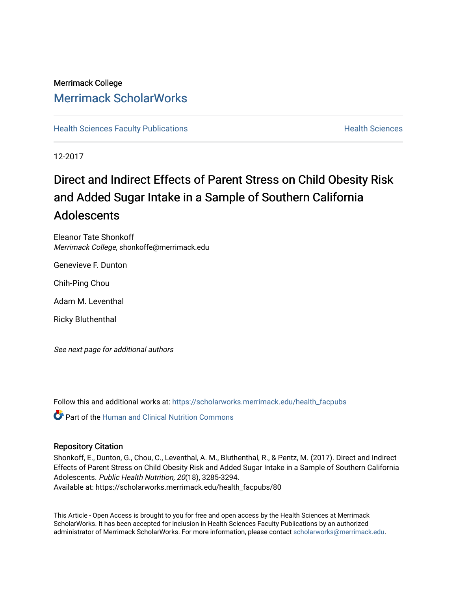# Merrimack College [Merrimack ScholarWorks](https://scholarworks.merrimack.edu/)

**[Health Sciences Faculty Publications](https://scholarworks.merrimack.edu/health_facpubs) Mealth Sciences Health Sciences** Health Sciences

12-2017

# Direct and Indirect Effects of Parent Stress on Child Obesity Risk and Added Sugar Intake in a Sample of Southern California **Adolescents**

Eleanor Tate Shonkoff Merrimack College, shonkoffe@merrimack.edu

Genevieve F. Dunton

Chih-Ping Chou

Adam M. Leventhal

Ricky Bluthenthal

See next page for additional authors

Follow this and additional works at: [https://scholarworks.merrimack.edu/health\\_facpubs](https://scholarworks.merrimack.edu/health_facpubs?utm_source=scholarworks.merrimack.edu%2Fhealth_facpubs%2F80&utm_medium=PDF&utm_campaign=PDFCoverPages) 

**C** Part of the [Human and Clinical Nutrition Commons](http://network.bepress.com/hgg/discipline/97?utm_source=scholarworks.merrimack.edu%2Fhealth_facpubs%2F80&utm_medium=PDF&utm_campaign=PDFCoverPages)

# Repository Citation

Shonkoff, E., Dunton, G., Chou, C., Leventhal, A. M., Bluthenthal, R., & Pentz, M. (2017). Direct and Indirect Effects of Parent Stress on Child Obesity Risk and Added Sugar Intake in a Sample of Southern California Adolescents. Public Health Nutrition, 20(18), 3285-3294. Available at: https://scholarworks.merrimack.edu/health\_facpubs/80

This Article - Open Access is brought to you for free and open access by the Health Sciences at Merrimack ScholarWorks. It has been accepted for inclusion in Health Sciences Faculty Publications by an authorized administrator of Merrimack ScholarWorks. For more information, please contact [scholarworks@merrimack.edu](mailto:scholarworks@merrimack.edu).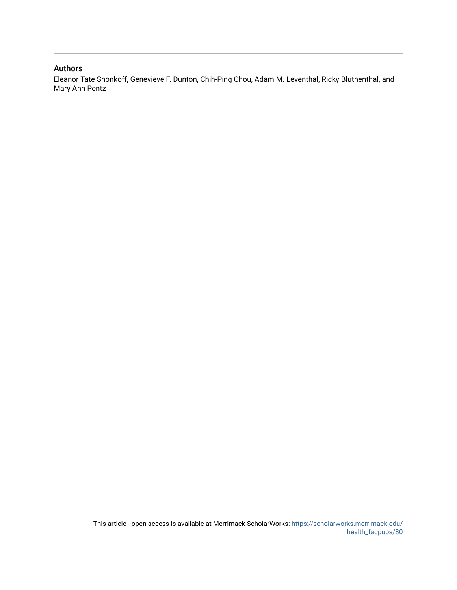# Authors

Eleanor Tate Shonkoff, Genevieve F. Dunton, Chih-Ping Chou, Adam M. Leventhal, Ricky Bluthenthal, and Mary Ann Pentz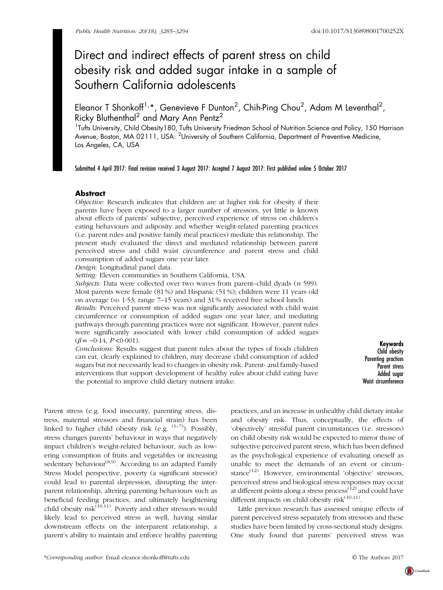# Direct and indirect effects of parent stress on child obesity risk and added sugar intake in a sample of Southern California adolescents

Eleanor T Shonkoff<sup>1,</sup>\*, Genevieve F Dunton<sup>2</sup>, Chih-Ping Chou<sup>2</sup>, Adam M Leventhal<sup>2</sup>, Ricky Bluthenthal<sup>2</sup> and Mary Ann Pentz<sup>2</sup>

<sup>1</sup>Tufts University, Child Obesity180, Tufts University Friedman School of Nutrition Science and Policy, 150 Harrison Avenue, Boston, MA 02111, USA: <sup>2</sup>University of Southern California, Department of Preventive Medicine, Los Angeles, CA, USA

Submitted 4 April 2017: Final revision received 3 August 2017: Accepted 7 August 2017: First published online 5 October 2017

# **Abstract**

Objective: Research indicates that children are at higher risk for obesity if their parents have been exposed to a larger number of stressors, yet little is known about effects of parents' subjective, perceived experience of stress on children's eating behaviours and adiposity and whether weight-related parenting practices (i.e. parent rules and positive family meal practices) mediate this relationship. The present study evaluated the direct and mediated relationship between parent perceived stress and child waist circumference and parent stress and child consumption of added sugars one year later.

Design: Longitudinal panel data.

Setting: Eleven communities in Southern California, USA.

Subjects: Data were collected over two waves from parent-child dyads  $(n 599)$ . Most parents were female (81 %) and Hispanic (51 %); children were 11 years old on average (SD 1·53; range 7–15 years) and 31 % received free school lunch.

Results: Perceived parent stress was not significantly associated with child waist circumference or consumption of added sugars one year later, and mediating pathways through parenting practices were not significant. However, parent rules were significantly associated with lower child consumption of added sugars  $(\beta = -0.14, P < 0.001)$ .

Conclusions: Results suggest that parent rules about the types of foods children can eat, clearly explained to children, may decrease child consumption of added sugars but not necessarily lead to changes in obesity risk. Parent- and family-based interventions that support development of healthy rules about child eating have the potential to improve child dietary nutrient intake.

Keywords Child obesity Parenting practices Parent stress Added sugar Waist circumference

Parent stress (e.g. food insecurity, parenting stress, distress, maternal stressors and financial strain) has been linked to higher child obesity risk (e.g.  $(1-7)$  $(1-7)$  $(1-7)$  $(1-7)$ ). Possibly, stress changes parents' behaviour in ways that negatively impact children's weight-related behaviour, such as lowering consumption of fruits and vegetables or increasing sedentary behaviour<sup> $(8,9)$  $(8,9)$  $(8,9)$  $(8,9)$ </sup>. According to an adapted Family Stress Model perspective, poverty (a significant stressor) could lead to parental depression, disrupting the interparent relationship, altering parenting behaviours such as beneficial feeding practices, and ultimately heightening child obesity risk<sup>([10,11](#page-10-0))</sup>. Poverty and other stressors would likely lead to perceived stress as well, having similar downstream effects on the interparent relationship, a parent's ability to maintain and enforce healthy parenting practices, and an increase in unhealthy child dietary intake and obesity risk. Thus, conceptually, the effects of 'objectively' stressful parent circumstances (i.e. stressors) on child obesity risk would be expected to mirror those of subjective perceived parent stress, which has been defined as the psychological experience of evaluating oneself as unable to meet the demands of an event or circum-stance<sup>[\(12](#page-10-0))</sup>. However, environmental 'objective' stressors, perceived stress and biological stress responses may occur at different points along a stress process  $(12)$  $(12)$  and could have different impacts on child obesity risk<sup>([10,11\)](#page-10-0)</sup>.

Little previous research has assessed unique effects of parent perceived stress separately from stressors and these studies have been limited by cross-sectional study designs. One study found that parents' perceived stress was

CrossMark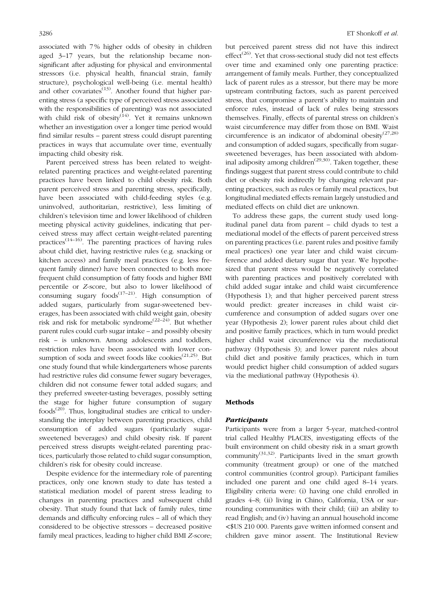associated with 7 % higher odds of obesity in children aged 3–17 years, but the relationship became nonsignificant after adjusting for physical and environmental stressors (i.e. physical health, financial strain, family structure), psychological well-being (i.e. mental health) and other covariates $^{(13)}$  $^{(13)}$  $^{(13)}$ . Another found that higher parenting stress (a specific type of perceived stress associated with the responsibilities of parenting) was not associated with child risk of obesity $(14)$  $(14)$ . Yet it remains unknown whether an investigation over a longer time period would find similar results – parent stress could disrupt parenting practices in ways that accumulate over time, eventually impacting child obesity risk.

Parent perceived stress has been related to weightrelated parenting practices and weight-related parenting practices have been linked to child obesity risk. Both parent perceived stress and parenting stress, specifically, have been associated with child-feeding styles (e.g. uninvolved, authoritarian, restrictive), less limiting of children's television time and lower likelihood of children meeting physical activity guidelines, indicating that perceived stress may affect certain weight-related parenting practices<sup> $(14–16)$  $(14–16)$  $(14–16)$ </sup>. The parenting practices of having rules about child diet, having restrictive rules (e.g. snacking or kitchen access) and family meal practices (e.g. less frequent family dinner) have been connected to both more frequent child consumption of fatty foods and higher BMI percentile or Z-score, but also to lower likelihood of consuming sugary  $foods^{(17-21)}$  $foods^{(17-21)}$  $foods^{(17-21)}$  $foods^{(17-21)}$  $foods^{(17-21)}$ . High consumption of added sugars, particularly from sugar-sweetened beverages, has been associated with child weight gain, obesity risk and risk for metabolic syndrome<sup>([22](#page-10-0)–[24\)](#page-10-0)</sup>. But whether parent rules could curb sugar intake – and possibly obesity risk – is unknown. Among adolescents and toddlers, restriction rules have been associated with lower consumption of soda and sweet foods like cookies<sup> $(21,25)$  $(21,25)$  $(21,25)$  $(21,25)$ </sup>. But one study found that while kindergarteners whose parents had restrictive rules did consume fewer sugary beverages, children did not consume fewer total added sugars; and they preferred sweeter-tasting beverages, possibly setting the stage for higher future consumption of sugary foods<sup> $(20)$  $(20)$ </sup>. Thus, longitudinal studies are critical to understanding the interplay between parenting practices, child consumption of added sugars (particularly sugarsweetened beverages) and child obesity risk. If parent perceived stress disrupts weight-related parenting practices, particularly those related to child sugar consumption, children's risk for obesity could increase.

Despite evidence for the intermediary role of parenting practices, only one known study to date has tested a statistical mediation model of parent stress leading to changes in parenting practices and subsequent child obesity. That study found that lack of family rules, time demands and difficulty enforcing rules – all of which they considered to be objective stressors – decreased positive family meal practices, leading to higher child BMI Z-score; but perceived parent stress did not have this indirect effect<sup> $(26)$  $(26)$ </sup>. Yet that cross-sectional study did not test effects over time and examined only one parenting practice: arrangement of family meals. Further, they conceptualized lack of parent rules as a stressor, but there may be more upstream contributing factors, such as parent perceived stress, that compromise a parent's ability to maintain and enforce rules, instead of lack of rules being stressors themselves. Finally, effects of parental stress on children's waist circumference may differ from those on BMI. Waist circumference is an indicator of abdominal obesity<sup>[\(27,28](#page-10-0))</sup> and consumption of added sugars, specifically from sugarsweetened beverages, has been associated with abdominal adiposity among children<sup> $(29,30)$  $(29,30)$  $(29,30)$  $(29,30)$ </sup>. Taken together, these findings suggest that parent stress could contribute to child diet or obesity risk indirectly by changing relevant parenting practices, such as rules or family meal practices, but longitudinal mediated effects remain largely unstudied and mediated effects on child diet are unknown.

To address these gaps, the current study used longitudinal panel data from parent – child dyads to test a mediational model of the effects of parent perceived stress on parenting practices (i.e. parent rules and positive family meal practices) one year later and child waist circumference and added dietary sugar that year. We hypothesized that parent stress would be negatively correlated with parenting practices and positively correlated with child added sugar intake and child waist circumference (Hypothesis 1); and that higher perceived parent stress would predict: greater increases in child waist circumference and consumption of added sugars over one year (Hypothesis 2); lower parent rules about child diet and positive family practices, which in turn would predict higher child waist circumference via the mediational pathway (Hypothesis 3); and lower parent rules about child diet and positive family practices, which in turn would predict higher child consumption of added sugars via the mediational pathway (Hypothesis 4).

## Methods

#### Participants

Participants were from a larger 5-year, matched-control trial called Healthy PLACES, investigating effects of the built environment on child obesity risk in a smart growth community<sup>([31,32\)](#page-10-0)</sup>. Participants lived in the smart growth community (treatment group) or one of the matched control communities (control group). Participant families included one parent and one child aged 8–14 years. Eligibility criteria were: (i) having one child enrolled in grades 4–8; (ii) living in Chino, California, USA or surrounding communities with their child; (iii) an ability to read English; and (iv) having an annual household income <\$US 210 000. Parents gave written informed consent and children gave minor assent. The Institutional Review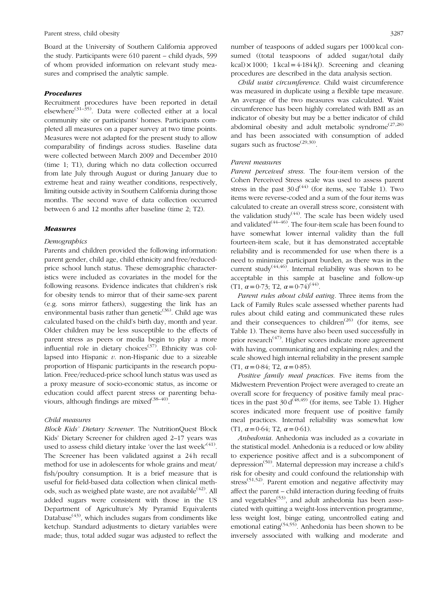Board at the University of Southern California approved the study. Participants were 610 parent – child dyads, 599 of whom provided information on relevant study measures and comprised the analytic sample.

### Procedures

Recruitment procedures have been reported in detail elsewhere<sup>([31](#page-10-0)–[35](#page-11-0))</sup>. Data were collected either at a local community site or participants' homes. Participants completed all measures on a paper survey at two time points. Measures were not adapted for the present study to allow comparability of findings across studies. Baseline data were collected between March 2009 and December 2010 (time 1; T1), during which no data collection occurred from late July through August or during January due to extreme heat and rainy weather conditions, respectively, limiting outside activity in Southern California during those months. The second wave of data collection occurred between 6 and 12 months after baseline (time 2; T2).

# Measures

# Demographics

Parents and children provided the following information: parent gender, child age, child ethnicity and free/reducedprice school lunch status. These demographic characteristics were included as covariates in the model for the following reasons. Evidence indicates that children's risk for obesity tends to mirror that of their same-sex parent (e.g. sons mirror fathers), suggesting the link has an environmental basis rather than genetic<sup>([36\)](#page-11-0)</sup>. Child age was calculated based on the child's birth day, month and year. Older children may be less susceptible to the effects of parent stress as peers or media begin to play a more influential role in dietary choices<sup> $(37)$  $(37)$  $(37)$ </sup>. Ethnicity was collapsed into Hispanic  $v$ . non-Hispanic due to a sizeable proportion of Hispanic participants in the research population. Free/reduced-price school lunch status was used as a proxy measure of socio-economic status, as income or education could affect parent stress or parenting behaviours, although findings are mixed $(38-40)$  $(38-40)$  $(38-40)$  $(38-40)$  $(38-40)$ .

# Child measures

Block Kids' Dietary Screener. The NutritionQuest Block Kids' Dietary Screener for children aged 2–17 years was used to assess child dietary intake 'over the last week'<sup>[\(41](#page-11-0))</sup>. The Screener has been validated against a 24 h recall method for use in adolescents for whole grains and meat/ fish/poultry consumption. It is a brief measure that is useful for field-based data collection when clinical methods, such as weighed plate waste, are not available<sup> $(42)$  $(42)$ </sup>. All added sugars were consistent with those in the US Department of Agriculture's My Pyramid Equivalents Database<sup> $(43)$  $(43)$ </sup>, which includes sugars from condiments like ketchup. Standard adjustments to dietary variables were made; thus, total added sugar was adjusted to reflect the

number of teaspoons of added sugars per 1000 kcal consumed ((total teaspoons of added sugar/total daily  $kcal) \times 1000$ ;  $1 kcal = 4.184 kJ$ ). Screening and cleaning procedures are described in the data analysis section.

Child waist circumference. Child waist circumference was measured in duplicate using a flexible tape measure. An average of the two measures was calculated. Waist circumference has been highly correlated with BMI as an indicator of obesity but may be a better indicator of child abdominal obesity and adult metabolic syndrome<sup> $(27,28)$  $(27,28)$ </sup> and has been associated with consumption of added sugars such as fructose $^{(29,30)}$  $^{(29,30)}$  $^{(29,30)}$ .

#### Parent measures

Parent perceived stress. The four-item version of the Cohen Perceived Stress scale was used to assess parent stress in the past  $30 d^{(44)}$  $30 d^{(44)}$  $30 d^{(44)}$  (for items, see [Table 1\)](#page-5-0). Two items were reverse-coded and a sum of the four items was calculated to create an overall stress score, consistent with the validation study<sup>([44\)](#page-11-0)</sup>. The scale has been widely used and validated $(44-46)$  $(44-46)$  $(44-46)$  $(44-46)$  $(44-46)$ . The four-item scale has been found to have somewhat lower internal validity than the full fourteen-item scale, but it has demonstrated acceptable reliability and is recommended for use when there is a need to minimize participant burden, as there was in the current study<sup> $(44,46)$  $(44,46)$ </sup>. Internal reliability was shown to be acceptable in this sample at baseline and follow-up (T1,  $\alpha = 0.73$ ; T2,  $\alpha = 0.74$ )<sup>([44](#page-11-0))</sup>.

Parent rules about child eating. Three items from the Lack of Family Rules scale assessed whether parents had rules about child eating and communicated these rules and their consequences to children<sup> $(26)$  $(26)$ </sup> (for items, see [Table 1](#page-5-0)). These items have also been used successfully in prior research<sup> $(47)$  $(47)$  $(47)$ </sup>. Higher scores indicate more agreement with having, communicating and explaining rules; and the scale showed high internal reliability in the present sample (T1,  $\alpha = 0.84$ ; T2,  $\alpha = 0.85$ ).

Positive family meal practices. Five items from the Midwestern Prevention Project were averaged to create an overall score for frequency of positive family meal practices in the past  $30 d^{(48,49)}$  $30 d^{(48,49)}$  $30 d^{(48,49)}$  (for items, see [Table 1\)](#page-5-0). Higher scores indicated more frequent use of positive family meal practices. Internal reliability was somewhat low (T1,  $\alpha = 0.64$ ; T2,  $\alpha = 0.61$ ).

Anhedonia. Anhedonia was included as a covariate in the statistical model. Anhedonia is a reduced or low ability to experience positive affect and is a subcomponent of depression<sup>[\(50\)](#page-11-0)</sup>. Maternal depression may increase a child's risk for obesity and could confound the relationship with stress<sup> $(51,52)$  $(51,52)$ </sup>. Parent emotion and negative affectivity may affect the parent – child interaction during feeding of fruits and vegetables<sup> $(53)$  $(53)$ </sup>, and adult anhedonia has been associated with quitting a weight-loss intervention programme, less weight lost, binge eating, uncontrolled eating and emotional eating[\(54,55](#page-11-0)). Anhedonia has been shown to be inversely associated with walking and moderate and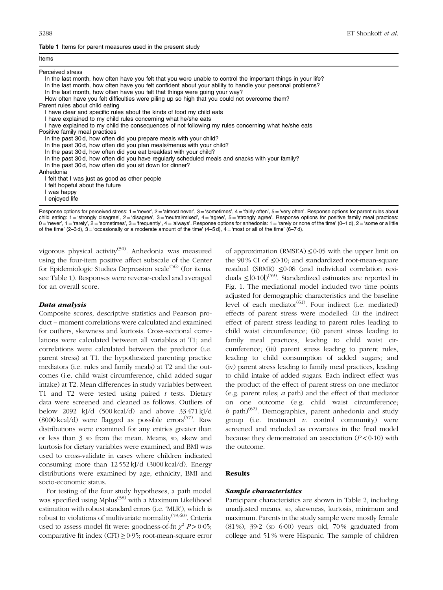Items

### <span id="page-5-0"></span>Table 1 Items for parent measures used in the present study

| ,,,,,,                                                                                                        |
|---------------------------------------------------------------------------------------------------------------|
| Perceived stress                                                                                              |
| In the last month, how often have you felt that you were unable to control the important things in your life? |
| In the last month, how often have you felt confident about your ability to handle your personal problems?     |
| In the last month, how often have you felt that things were going your way?                                   |
| How often have you felt difficulties were piling up so high that you could not overcome them?                 |
| Parent rules about child eating                                                                               |
| I have clear and specific rules about the kinds of food my child eats                                         |
| I have explained to my child rules concerning what he/she eats                                                |
| I have explained to my child the consequences of not following my rules concerning what he/she eats           |
| Positive family meal practices                                                                                |
| In the past 30 d, how often did you prepare meals with your child?                                            |
| In the past 30 d, how often did you plan meals/menus with your child?                                         |
| In the past 30 d, how often did you eat breakfast with your child?                                            |
| In the past 30d, how often did you have regularly scheduled meals and snacks with your family?                |
| In the past 30 d, how often did you sit down for dinner?                                                      |
| Anhedonia                                                                                                     |
| I felt that I was just as good as other people                                                                |
| I felt hopeful about the future                                                                               |
| I was happy                                                                                                   |

I enjoyed life

Response options for perceived stress: 1 = 'never', 2 = 'almost never', 3 = 'sometimes', 4 = 'fairly often', 5 = 'very often'. Response options for parent rules about child eating: 1 ='strongly disagree', 2='disagree', 3='neutral/mixed', 4='agree', 5 ='strongly agree'. Response options for positive family meal practices:  $0 = 'never', 1 = 'rarely', 2 = 'sometimes', 3 = 'frequently', 4 = 'always'.$  Response options for anhedonia:  $1 = 'rarely$  or none of the time'  $(0-1 d)$ ,  $2 = 'some$  or a little of the time'  $(2-3d)$ ,  $3 =$  'occasionally or a moderate amount of the time'  $(4-5d)$ ,  $4 =$  'most or all of the time'  $(6-7d)$ .

vigorous physical activity<sup>[\(50](#page-11-0))</sup>. Anhedonia was measured using the four-item positive affect subscale of the Center for Epidemiologic Studies Depression scale<sup> $(56)$  $(56)$ </sup> (for items, see Table 1). Responses were reverse-coded and averaged for an overall score.

# Data analysis

Composite scores, descriptive statistics and Pearson product – moment correlations were calculated and examined for outliers, skewness and kurtosis. Cross-sectional correlations were calculated between all variables at T1; and correlations were calculated between the predictor (i.e. parent stress) at T1, the hypothesized parenting practice mediators (i.e. rules and family meals) at T2 and the outcomes (i.e. child waist circumference, child added sugar intake) at T2. Mean differences in study variables between T1 and T2 were tested using paired  $t$  tests. Dietary data were screened and cleaned as follows. Outliers of below 2092 kJ/d (500 kcal/d) and above 33 471 kJ/d  $(8000 \text{ kcal/d})$  were flagged as possible errors<sup> $(57)$  $(57)$ </sup>. Raw distributions were examined for any entries greater than or less than 3 SD from the mean. Means, SD, skew and kurtosis for dietary variables were examined, and BMI was used to cross-validate in cases where children indicated consuming more than 12 552 kJ/d (3000 kcal/d). Energy distributions were examined by age, ethnicity, BMI and socio-economic status.

For testing of the four study hypotheses, a path model was specified using Mplus<sup>[\(58](#page-11-0))</sup> with a Maximum Likelihood estimation with robust standard errors (i.e. 'MLR'), which is robust to violations of multivariate normality<sup>([59,60\)](#page-11-0)</sup>. Criteria used to assess model fit were: goodness-of-fit  $\chi^2 P > 0.05$ ; comparative fit index (CFI)≥0·95; root-mean-square error of approximation (RMSEA)  $\leq$  0.05 with the upper limit on the 90 % CI of ≤0·10; and standardized root-mean-square residual (SRMR) ≤0·08 (and individual correlation residuals  $\leq |0.10|^{(59)}$  $\leq |0.10|^{(59)}$  $\leq |0.10|^{(59)}$ . Standardized estimates are reported in [Fig. 1](#page-6-0). The mediational model included two time points adjusted for demographic characteristics and the baseline level of each mediator<sup> $(61)$  $(61)$ </sup>. Four indirect (i.e. mediated) effects of parent stress were modelled: (i) the indirect effect of parent stress leading to parent rules leading to child waist circumference; (ii) parent stress leading to family meal practices, leading to child waist circumference; (iii) parent stress leading to parent rules, leading to child consumption of added sugars; and (iv) parent stress leading to family meal practices, leading to child intake of added sugars. Each indirect effect was the product of the effect of parent stress on one mediator (e.g. parent rules; a path) and the effect of that mediator on one outcome (e.g. child waist circumference; b path)<sup>[\(62](#page-11-0))</sup>. Demographics, parent anhedonia and study group (i.e. treatment  $v$ . control community) were screened and included as covariates in the final model because they demonstrated an association  $(P<0.10)$  with the outcome.

### Results

#### Sample characteristics

Participant characteristics are shown in [Table 2](#page-6-0), including unadjusted means, SD, skewness, kurtosis, minimum and maximum. Parents in the study sample were mostly female (81 %), 39·2 (SD 6·00) years old, 70 % graduated from college and 51 % were Hispanic. The sample of children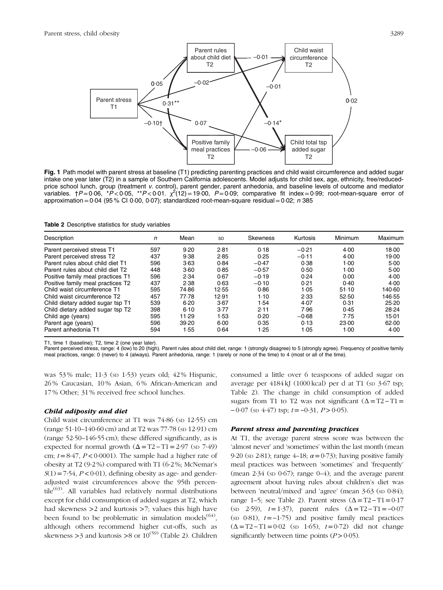<span id="page-6-0"></span>

Fig. 1 Path model with parent stress at baseline (T1) predicting parenting practices and child waist circumference and added sugar intake one year later (T2) in a sample of Southern California adolescents. Model adjusts for child sex, age, ethnicity, free/reducedprice school lunch, group (treatment v. control), parent gender, parent anhedonia, and baseline levels of outcome and mediator variables. †P=0·06, \*P<0·05, \*\*P<0·01.  $\chi^2(12)$ =19·00, P=0·09; comparative fit index=0·99; root-mean-square error of approximation =  $0.04$  (95 % CI 0 $0.00$ , 0 $0.07$ ); standardized root-mean-square residual =  $0.02$ ; n 385

Table 2 Descriptive statistics for study variables

| Description                       | n   | Mean  | <b>SD</b> | <b>Skewness</b> | Kurtosis | <b>Minimum</b> | Maximum |
|-----------------------------------|-----|-------|-----------|-----------------|----------|----------------|---------|
| Parent perceived stress T1        | 597 | 9.20  | 2.81      | 0.18            | $-0.21$  | 4.00           | 18.00   |
| Parent perceived stress T2        | 437 | 9.38  | 2.85      | 0.25            | $-0.11$  | 4.00           | 19.00   |
| Parent rules about child diet T1  | 596 | 3.63  | 0.84      | $-0.47$         | 0.38     | $1-00$         | 5.00    |
| Parent rules about child diet T2  | 448 | 3.60  | 0.85      | $-0.57$         | 0.50     | $1-00$         | 5.00    |
| Positive family meal practices T1 | 596 | 2.34  | 0.67      | $-0.19$         | 0.24     | 0.00           | 4.00    |
| Positive family meal practices T2 | 437 | 2.38  | 0.63      | $-0.10$         | 0.21     | 0.40           | 4.00    |
| Child waist circumference T1      | 595 | 74.86 | 12.55     | 0.86            | 1.05     | 51.10          | 140.60  |
| Child waist circumference T2      | 457 | 77.78 | 12.91     | 1.10            | 2.33     | 52.50          | 146.55  |
| Child dietary added sugar tsp T1  | 539 | 6.20  | 3.67      | 1.54            | 4.07     | 0.31           | 25.20   |
| Child dietary added sugar tsp T2  | 398 | 6.10  | 3.77      | 2.11            | 7.96     | 0.45           | 28.24   |
| Child age (years)                 | 595 | 11.29 | 1.53      | 0.20            | $-0.68$  | 7.75           | 15.01   |
| Parent age (years)                | 596 | 39.20 | 6.00      | 0.35            | 0.13     | 23.00          | 62.00   |
| Parent anhedonia T1               | 594 | 1.55  | 0.64      | 1.25            | 1.05     | 1.00           | 4.00    |

T1, time 1 (baseline); T2, time 2 (one year later).

Parent perceived stress, range: 4 (low) to 20 (high). Parent rules about child diet, range: 1 (strongly disagree) to 5 (strongly agree). Frequency of positive family meal practices, range: 0 (never) to 4 (always). Parent anhedonia, range: 1 (rarely or none of the time) to 4 (most or all of the time).

was 53 % male; 11·3 (SD 1·53) years old; 42 % Hispanic, 26 % Caucasian, 10 % Asian, 6 % African-American and 17 % Other; 31 % received free school lunches.

#### Child adiposity and diet

Child waist circumference at T1 was  $74.86$  (sp  $12.55$ ) cm  $(\text{range } 51 \cdot 10 - 140 \cdot 60 \text{ cm})$  and at T2 was 77 $\cdot$ 78 (sp 12 $\cdot$ 91) cm (range 52·50–146·55 cm); these differed significantly, as is expected for normal growth  $(\Delta = T2 - T1 = 2.97$  (sp 7.49) cm;  $t=8.47$ ,  $P < 0.0001$ ). The sample had a higher rate of obesity at T2 (9·2 %) compared with T1 (6·2 %; McNemar's  $S(1) = 7.54$ ,  $P < 0.01$ ), defining obesity as age- and genderadjusted waist circumferences above the 95th percen- $tile^{(63)}$  $tile^{(63)}$  $tile^{(63)}$ . All variables had relatively normal distributions except for child consumption of added sugars at T2, which had skewness >2 and kurtosis >7; values this high have been found to be problematic in simulation models<sup> $(64)$  $(64)$  $(64)$ </sup>, although others recommend higher cut-offs, such as skewness  $>3$  and kurtosis  $>8$  or  $10^{(59)}$  $10^{(59)}$  $10^{(59)}$  (Table 2). Children consumed a little over 6 teaspoons of added sugar on average per  $4184 \text{ kJ}$  (1000 kcal) per d at T1 (sp  $3.67$  tsp; Table 2). The change in child consumption of added sugars from T1 to T2 was not significant  $(\Delta = T2 - T1)$  $-0.07$  (sp 4.47) tsp;  $t=-0.31$ ,  $P>0.05$ ).

# Parent stress and parenting practices

At T1, the average parent stress score was between the 'almost never' and 'sometimes' within the last month (mean 9.20 (sp 2.81); range 4–18;  $\alpha$  = 0.73); having positive family meal practices was between 'sometimes' and 'frequently' (mean  $2.34$  (sp  $0.67$ ); range  $0-4$ ); and the average parent agreement about having rules about children's diet was between 'neutral/mixed' and 'agree' (mean 3.63 (sp 0.84); range 1–5; see Table 2). Parent stress  $(\Delta = T2 - T1 = 0.17)$ (sp 2.59),  $t=1.37$ ), parent rules  $(\Delta = T2 - T1 = -0.07)$ (sp  $0.81$ ),  $t=-1.75$ ) and positive family meal practices  $(\Delta = T2 - T1 = 0.02$  (sp 1.65),  $t = 0.72$ ) did not change significantly between time points  $(P>0.05)$ .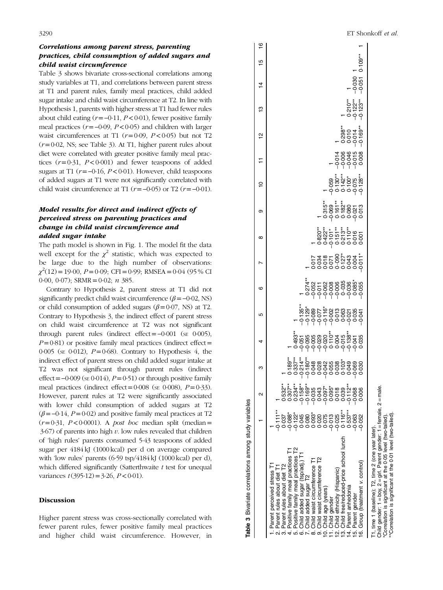# Correlations among parent stress, parenting practices, child consumption of added sugars and child waist circumference

Table 3 shows bivariate cross-sectional correlations among study variables at T1, and correlations between parent stress at T1 and parent rules, family meal practices, child added sugar intake and child waist circumference at T2. In line with Hypothesis 1, parents with higher stress at T1 had fewer rules about child eating ( $r =$ −0·11,  $P$  < 0·01), fewer positive family meal practices ( $r = -0.09$ ,  $P < 0.05$ ) and children with larger waist circumferences at T1 ( $r=0.09$ ,  $P<0.05$ ) but not T2  $(r=0.02, \text{ NS}; \text{ see Table 3})$ . At T1, higher parent rules about diet were correlated with greater positive family meal practices  $(r=0.31, P<0.001)$  and fewer teaspoons of added sugars at T1 ( $r = -0.16$ ,  $P < 0.01$ ). However, child teaspoons of added sugars at T1 were not significantly correlated with child waist circumference at T1 ( $r = -0.05$ ) or T2 ( $r = -0.01$ ).

# Model results for direct and indirect effects of perceived stress on parenting practices and change in child waist circumference and added sugar intake

The path model is shown in [Fig. 1](#page-6-0). The model fit the data well except for the  $\chi^2$  statistic, which was expected to be large due to the high number of observations:  $\chi^2(12) = 19.00, P = 0.09; CFI = 0.99; RMSEA = 0.04 (95% CI)$ 0.00, 0.07); SRMR = 0.02;  $n$  385.

Contrary to Hypothesis 2, parent stress at T1 did not significantly predict child waist circumference  $(\beta = -0.02, \text{NS})$ or child consumption of added sugars ( $\beta$ =0·07, NS) at T2. Contrary to Hypothesis 3, the indirect effect of parent stress on child waist circumference at T2 was not significant through parent rules (indirect effect=−0·001 (SE 0·005),  $P=0.81$ ) or positive family meal practices (indirect effect= 0.005 (se 0.012),  $P=0.68$ ). Contrary to Hypothesis 4, the indirect effect of parent stress on child added sugar intake at T2 was not significant through parent rules (indirect effect =  $-0.009$  (se 0.014), P = 0.51) or through positive family meal practices (indirect effect=0.008 ( $\text{SE}$  0.008),  $P=0.33$ ). However, parent rules at T2 were significantly associated with lower child consumption of added sugars at T2  $(\beta = -0.14, P = 0.02)$  and positive family meal practices at T2  $(r=0.31, P<0.0001)$ . A *post hoc* median split (median =  $3.67$ ) of parents into high v. low rules revealed that children of 'high rules' parents consumed 5·43 teaspoons of added sugar per 4184 kJ (1000 kcal) per d on average compared with 'low rules' parents (6.59 tsp/4184 kJ (1000 kcal) per d), which differed significantly (Satterthwaite  $t$  test for unequal variances  $t(395.12) = 3.26$ ,  $P < 0.01$ ).

### Discussion

Higher parent stress was cross-sectionally correlated with fewer parent rules, fewer positive family meal practices and higher child waist circumference. However, in

| Table 3 Bivariate correlations among study variables                                                                                                                                                                                                                                                                                                                                                                                                                                      |                                                                                                                                                                    |                                                                                                                                               |                                                                                                          |                                                     |                                               |                                       |           |                                                                       |                                    |                         |                                    |                                                  |                |           |  |
|-------------------------------------------------------------------------------------------------------------------------------------------------------------------------------------------------------------------------------------------------------------------------------------------------------------------------------------------------------------------------------------------------------------------------------------------------------------------------------------------|--------------------------------------------------------------------------------------------------------------------------------------------------------------------|-----------------------------------------------------------------------------------------------------------------------------------------------|----------------------------------------------------------------------------------------------------------|-----------------------------------------------------|-----------------------------------------------|---------------------------------------|-----------|-----------------------------------------------------------------------|------------------------------------|-------------------------|------------------------------------|--------------------------------------------------|----------------|-----------|--|
|                                                                                                                                                                                                                                                                                                                                                                                                                                                                                           |                                                                                                                                                                    | $\mathbf{\alpha}$                                                                                                                             | ო                                                                                                        | 4                                                   | 5                                             | ဖ                                     | $^\infty$ | თ                                                                     | $\overline{a}$                     |                         | 잎                                  | ლ<br>—                                           | $\overline{4}$ | LO        |  |
| 3. Child free/reduced-price school lunch<br>Positive family meal practices T2<br>Positive family meal practices<br>Child added sugar (tsp/adj.) T<br>hild waist circumference T2<br>Child waist circumference T1<br>16. Group (treatment v. control)<br>Parent rules about diet T2<br>I. Parent perceived stress T<br>2. Parent rules about diet T1<br>hild ethnicity (Hispanic)<br>Child added sugar T2<br>4. Parent anhedonia<br>Child age (years)<br>15. Parent gender<br>Child gender | $-0.111**$<br>$0.116**$<br>$0.537**$<br>$-0.088*$<br>$-0.122$ <sup>*</sup><br>0.080*<br>$-0.025$<br>$-0.013$<br>0.045<br>0.75<br>$-0.063$<br>0.052<br>0.037<br>020 | $-0.158**$<br>$0.307**$<br>•<br>စီမှ တင်္ဂန် စေရှ<br>မှ ၁၀၀၀ ၁၀<br>၁ ၁ ၁ ၁ ၁ ၁<br>$0.234***$<br>$-0.112**$<br>$0.532***$<br>0.006<br>$-0.068$ | またまた。<br>8.6.7 H 8 8 8 8 9 8 8 9 8 9 8 9 8<br>- 8.6 H 0 9 0 0 0 0 0 0 0 0<br>- 6 0 0 0 0 0 0 0 0 0 0 0 0 | ؞ؙ۠ۄ<br>۠؋ؙۊ؋ۄۄۄۏڎؙڂ؋؞؋؞؋<br>؋؋؋؋؋؋؋؋؋؋<br>؋؋؋؋؋؋؋؋ | ŦŖIJŖŖŖŖġŶŢŖġŖŶ<br>ŖŖŖŎŦŎŖŦĊŖŖŖ<br>ŶŎŶŎŎŶŶŶŶŦ | ڽۄۄۄۄۄۄۄۄؠ<br>ۄۄۄۄۅۄۄۄؠۄؠ<br>؋؋؋؋؋؋؋؋ |           | က နဲ့ နဲ့<br>အစီး အစီး မှ အို<br>မိုးဝိုင် ၁ ၁ ၁ –<br>နိုင်ငံ ၁ ၁ – ၁ | ************<br>850707<br>96070767 | 88985<br>65665<br>69997 | **88**<br>0.010<br>0.0100<br>0.000 | $7.210**$<br>$0.210**$<br>$0.123**$<br>$0.123**$ | $-0.051$       | $0.109**$ |  |
| Child gender: 1 = boy, 2 = girl. Parent gender: 1 = female, 2 = male.<br>"Correlation is significant at the 0.01 level (two-tailed)<br>"Correlation is significant at the 0.05 level (two-tailed)<br>1, time 1 (baseline); T2, time 2 (one year later)                                                                                                                                                                                                                                    |                                                                                                                                                                    |                                                                                                                                               |                                                                                                          |                                                     |                                               |                                       |           |                                                                       |                                    |                         |                                    |                                                  |                |           |  |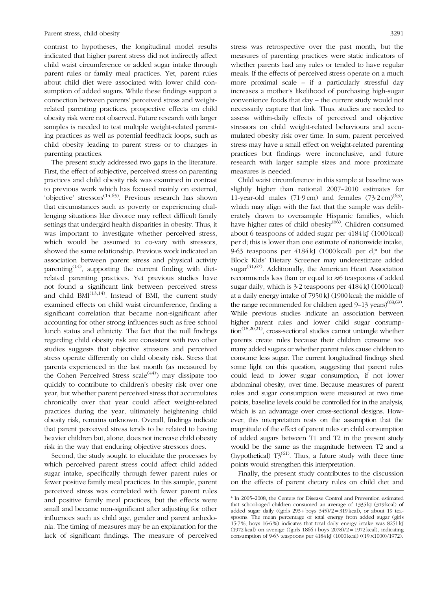contrast to hypotheses, the longitudinal model results indicated that higher parent stress did not indirectly affect child waist circumference or added sugar intake through parent rules or family meal practices. Yet, parent rules about child diet were associated with lower child consumption of added sugars. While these findings support a connection between parents' perceived stress and weightrelated parenting practices, prospective effects on child obesity risk were not observed. Future research with larger samples is needed to test multiple weight-related parenting practices as well as potential feedback loops, such as child obesity leading to parent stress or to changes in parenting practices.

The present study addressed two gaps in the literature. First, the effect of subjective, perceived stress on parenting practices and child obesity risk was examined in contrast to previous work which has focused mainly on external, 'objective' stressors<sup>[\(14](#page-10-0)[,65](#page-11-0))</sup>. Previous research has shown that circumstances such as poverty or experiencing challenging situations like divorce may reflect difficult family settings that undergird health disparities in obesity. Thus, it was important to investigate whether perceived stress, which would be assumed to co-vary with stressors, showed the same relationship. Previous work indicated an association between parent stress and physical activity parenting<sup> $(14)$  $(14)$ </sup>, supporting the current finding with dietrelated parenting practices. Yet previous studies have not found a significant link between perceived stress and child  $BMI^{(13,14)}$  $BMI^{(13,14)}$  $BMI^{(13,14)}$  $BMI^{(13,14)}$  $BMI^{(13,14)}$ . Instead of BMI, the current study examined effects on child waist circumference, finding a significant correlation that became non-significant after accounting for other strong influences such as free school lunch status and ethnicity. The fact that the null findings regarding child obesity risk are consistent with two other studies suggests that objective stressors and perceived stress operate differently on child obesity risk. Stress that parents experienced in the last month (as measured by the Cohen Perceived Stress scale<sup> $(44)$  $(44)$ </sup> may dissipate too quickly to contribute to children's obesity risk over one year, but whether parent perceived stress that accumulates chronically over that year could affect weight-related practices during the year, ultimately heightening child obesity risk, remains unknown. Overall, findings indicate that parent perceived stress tends to be related to having heavier children but, alone, does not increase child obesity risk in the way that enduring objective stressors does.

Second, the study sought to elucidate the processes by which perceived parent stress could affect child added sugar intake, specifically through fewer parent rules or fewer positive family meal practices. In this sample, parent perceived stress was correlated with fewer parent rules and positive family meal practices, but the effects were small and became non-significant after adjusting for other influences such as child age, gender and parent anhedonia. The timing of measures may be an explanation for the lack of significant findings. The measure of perceived stress was retrospective over the past month, but the measures of parenting practices were static indicators of whether parents had any rules or tended to have regular meals. If the effects of perceived stress operate on a much more proximal scale – if a particularly stressful day increases a mother's likelihood of purchasing high-sugar convenience foods that day – the current study would not necessarily capture that link. Thus, studies are needed to assess within-daily effects of perceived and objective stressors on child weight-related behaviours and accumulated obesity risk over time. In sum, parent perceived stress may have a small effect on weight-related parenting practices but findings were inconclusive, and future research with larger sample sizes and more proximate measures is needed.

Child waist circumference in this sample at baseline was slightly higher than national 2007–2010 estimates for 11-year-old males (71.9 cm) and females  $(73.2 \text{ cm})^{(63)}$  $(73.2 \text{ cm})^{(63)}$  $(73.2 \text{ cm})^{(63)}$ , which may align with the fact that the sample was deliberately drawn to oversample Hispanic families, which have higher rates of child obesity $(66)$  $(66)$ . Children consumed about 6 teaspoons of added sugar per 4184 kJ (1000 kcal) per d; this is lower than one estimate of nationwide intake, 9·63 teaspoons per 4184 kJ (1000 kcal) per d,\* but the Block Kids' Dietary Screener may underestimate added sugar<sup>[\(41,67](#page-11-0))</sup>. Additionally, the American Heart Association recommends less than or equal to ≈6 teaspoons of added sugar daily, which is 3·2 teaspoons per 4184 kJ (1000 kcal) at a daily energy intake of 7950 kJ (1900 kcal; the middle of the range recommended for children aged  $9-13$  years)<sup>[\(68,69](#page-11-0))</sup>. While previous studies indicate an association between higher parent rules and lower child sugar consump- $\chi$  tion<sup>[\(18](#page-10-0),[20,21\)](#page-10-0)</sup>, cross-sectional studies cannot untangle whether parents create rules because their children consume too many added sugars or whether parent rules cause children to consume less sugar. The current longitudinal findings shed some light on this question, suggesting that parent rules could lead to lower sugar consumption, if not lower abdominal obesity, over time. Because measures of parent rules and sugar consumption were measured at two time points, baseline levels could be controlled for in the analysis, which is an advantage over cross-sectional designs. However, this interpretation rests on the assumption that the magnitude of the effect of parent rules on child consumption of added sugars between T1 and T2 in the present study would be the same as the magnitude between T2 and a (hypothetical)  $T3^{(61)}$  $T3^{(61)}$  $T3^{(61)}$ . Thus, a future study with three time points would strengthen this interpretation.

Finally, the present study contributes to the discussion on the effects of parent dietary rules on child diet and

<sup>\*</sup> In 2005–2008, the Centers for Disease Control and Prevention estimated that school-aged children consumed an average of 1335 kJ (319 kcal) of added sugar daily ((girls  $293 + boys$   $345$ )/2=319 kcal), or about 19 teaspoons. The mean percentage of total energy from added sugar (girls 15·7 %; boys 16·6 %) indicates that total daily energy intake was 8251 kJ (1972 kcal) on average ((girls 1866 + boys 2078)/2=1972 kcal), indicating consumption of 9·63 teaspoons per 4184 kJ (1000 kcal) ((19×1000)/1972).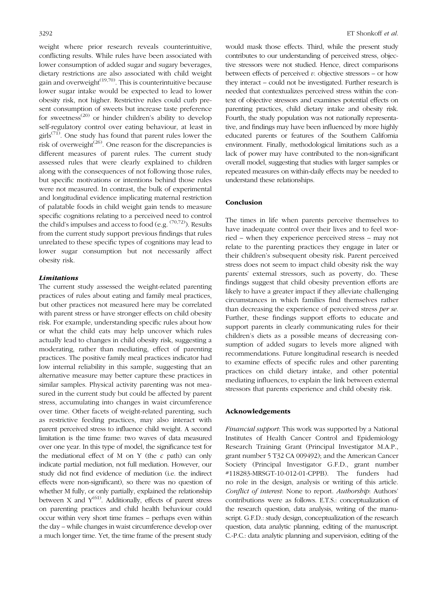weight where prior research reveals counterintuitive, conflicting results. While rules have been associated with lower consumption of added sugar and sugary beverages, dietary restrictions are also associated with child weight gain and overweight $(19,70)$  $(19,70)$  $(19,70)$  $(19,70)$ . This is counterintuitive because lower sugar intake would be expected to lead to lower obesity risk, not higher. Restrictive rules could curb present consumption of sweets but increase taste preference for sweetness<sup>[\(20](#page-10-0))</sup> or hinder children's ability to develop self-regulatory control over eating behaviour, at least in girls<sup> $(71)$ </sup>. One study has found that parent rules lower the risk of overweight $^{(26)}$  $^{(26)}$  $^{(26)}$ . One reason for the discrepancies is different measures of parent rules. The current study assessed rules that were clearly explained to children along with the consequences of not following those rules, but specific motivations or intentions behind those rules were not measured. In contrast, the bulk of experimental and longitudinal evidence implicating maternal restriction of palatable foods in child weight gain tends to measure specific cognitions relating to a perceived need to control the child's impulses and access to food (e.g.  $(70,72)$  $(70,72)$ ). Results from the current study support previous findings that rules unrelated to these specific types of cognitions may lead to lower sugar consumption but not necessarily affect obesity risk.

# Limitations

The current study assessed the weight-related parenting practices of rules about eating and family meal practices, but other practices not measured here may be correlated with parent stress or have stronger effects on child obesity risk. For example, understanding specific rules about how or what the child eats may help uncover which rules actually lead to changes in child obesity risk, suggesting a moderating, rather than mediating, effect of parenting practices. The positive family meal practices indicator had low internal reliability in this sample, suggesting that an alternative measure may better capture these practices in similar samples. Physical activity parenting was not measured in the current study but could be affected by parent stress, accumulating into changes in waist circumference over time. Other facets of weight-related parenting, such as restrictive feeding practices, may also interact with parent perceived stress to influence child weight. A second limitation is the time frame: two waves of data measured over one year. In this type of model, the significance test for the mediational effect of M on Y (the  $c$  path) can only indicate partial mediation, not full mediation. However, our study did not find evidence of mediation (i.e. the indirect effects were non-significant), so there was no question of whether M fully, or only partially, explained the relationship between X and  $Y^{(61)}$  $Y^{(61)}$  $Y^{(61)}$ . Additionally, effects of parent stress on parenting practices and child health behaviour could occur within very short time frames – perhaps even within the day – while changes in waist circumference develop over a much longer time. Yet, the time frame of the present study

would mask those effects. Third, while the present study contributes to our understanding of perceived stress, objective stressors were not studied. Hence, direct comparisons between effects of perceived  $v$ . objective stressors – or how they interact – could not be investigated. Further research is needed that contextualizes perceived stress within the context of objective stressors and examines potential effects on parenting practices, child dietary intake and obesity risk. Fourth, the study population was not nationally representative, and findings may have been influenced by more highly educated parents or features of the Southern California environment. Finally, methodological limitations such as a lack of power may have contributed to the non-significant overall model, suggesting that studies with larger samples or repeated measures on within-daily effects may be needed to understand these relationships.

# Conclusion

The times in life when parents perceive themselves to have inadequate control over their lives and to feel worried – when they experience perceived stress – may not relate to the parenting practices they engage in later or their children's subsequent obesity risk. Parent perceived stress does not seem to impact child obesity risk the way parents' external stressors, such as poverty, do. These findings suggest that child obesity prevention efforts are likely to have a greater impact if they alleviate challenging circumstances in which families find themselves rather than decreasing the experience of perceived stress per se. Further, these findings support efforts to educate and support parents in clearly communicating rules for their children's diets as a possible means of decreasing consumption of added sugars to levels more aligned with recommendations. Future longitudinal research is needed to examine effects of specific rules and other parenting practices on child dietary intake, and other potential mediating influences, to explain the link between external stressors that parents experience and child obesity risk.

#### Acknowledgements

Financial support: This work was supported by a National Institutes of Health Cancer Control and Epidemiology Research Training Grant (Principal Investigator M.A.P., grant number 5 T32 CA 009492); and the American Cancer Society (Principal Investigator G.F.D., grant number #118283-MRSGT-10-012-01-CPPB). The funders had no role in the design, analysis or writing of this article. Conflict of interest: None to report. Authorship: Authors' contributions were as follows. E.T.S.: conceptualization of the research question, data analysis, writing of the manuscript. G.F.D.: study design, conceptualization of the research question, data analytic planning, editing of the manuscript. C.-P.C.: data analytic planning and supervision, editing of the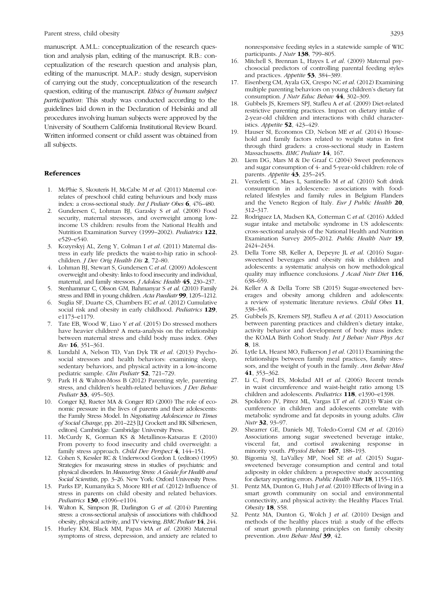<span id="page-10-0"></span>Parent stress, child obesity 3293

manuscript. A.M.L.: conceptualization of the research question and analysis plan, editing of the manuscript. R.B.: conceptualization of the research question and analysis plan, editing of the manuscript. M.A.P.: study design, supervision of carrying out the study, conceptualization of the research question, editing of the manuscript. Ethics of human subject participation: This study was conducted according to the guidelines laid down in the Declaration of Helsinki and all procedures involving human subjects were approved by the University of Southern California Institutional Review Board. Written informed consent or child assent was obtained from all subjects.

## References

- 1. McPhie S, Skouteris H, McCabe M et al. (2011) Maternal correlates of preschool child eating behaviours and body mass index: a cross-sectional study. Int J Pediatr Obes 6, 476–480.
- 2. Gundersen C, Lohman BJ, Garasky S et al. (2008) Food security, maternal stressors, and overweight among lowincome US children: results from the National Health and Nutrition Examination Survey (1999–2002). Pediatrics 122, e529–e540.
- 3. Kozyrskyj AL, Zeng Y, Colman I et al. (2011) Maternal distress in early life predicts the waist-to-hip ratio in schoolchildren. J Dev Orig Health Dis 2, 72–80.
- 4. Lohman BJ, Stewart S, Gundersen C et al. (2009) Adolescent overweight and obesity: links to food insecurity and individual, maternal, and family stressors. J Adolesc Health 45, 230–237.
- 5. Stenhammar C, Olsson GM, Bahmanyar S et al. (2010) Family stress and BMI in young children. Acta Paediatr 99, 1205–1212.
- Suglia SF, Duarte CS, Chambers EC et al. (2012) Cumulative social risk and obesity in early childhood. Pediatrics 129, e1173–e1179.
- 7. Tate EB, Wood W, Liao Y et al. (2015) Do stressed mothers have heavier children? A meta-analysis on the relationship between maternal stress and child body mass index. Obes Rev 16, 351–361.
- 8. Lundahl A, Nelson TD, Van Dyk TR et al. (2013) Psychosocial stressors and health behaviors: examining sleep, sedentary behaviors, and physical activity in a low-income pediatric sample. Clin Pediatr 52, 721–729.
- 9. Park H & Walton-Moss B (2012) Parenting style, parenting stress, and children's health-related behaviors. J Dev Behav Pediatr 33, 495-503.
- 10. Conger KJ, Rueter MA & Conger RD (2000) The role of economic pressure in the lives of parents and their adolescents: the Family Stress Model. In Negotiating Adolescence in Times of Social Change, pp. 201–223 [LJ Crockett and RK Silberiesen, editors]. Cambridge: Cambridge University Press.
- 11. McCurdy K, Gorman KS & Metallinos-Katsaras E (2010) From poverty to food insecurity and child overweight: a family stress approach. Child Dev Perspect 4, 144-151.
- 12. Cohen S, Kessler RC & Underwood Gordon L (editors) (1995) Strategies for measuring stress in studies of psychiatric and physical disorders. In Measuring Stress: A Guide for Health and Social Scientists, pp. 3–26. New York: Oxford University Press.
- 13. Parks EP, Kumanyika S, Moore RH et al. (2012) Influence of stress in parents on child obesity and related behaviors. Pediatrics 130, e1096-e1104.
- 14. Walton K, Simpson JR, Darlington G et al. (2014) Parenting stress: a cross-sectional analysis of associations with childhood obesity, physical activity, and TV viewing. BMC Pediatr 14, 244.
- 15. Hurley KM, Black MM, Papas MA et al. (2008) Maternal symptoms of stress, depression, and anxiety are related to

nonresponsive feeding styles in a statewide sample of WIC participants. *J Nutr* 138, 799-805.

- 16. Mitchell S, Brennan L, Hayes L et al. (2009) Maternal psychosocial predictors of controlling parental feeding styles and practices. Appetite 53, 384–389.
- 17. Eisenberg CM, Ayala GX, Crespo NC et al. (2012) Examining multiple parenting behaviors on young children's dietary fat consumption. *J Nutr Educ Behav* 44, 302-309.
- 18. Gubbels JS, Kremers SPJ, Stafleu A et al. (2009) Diet-related restrictive parenting practices. Impact on dietary intake of 2-year-old children and interactions with child characteristics. Appetite 52, 423–429.
- 19. Hauser SI, Economos CD, Nelson ME et al. (2014) Household and family factors related to weight status in first through third graders: a cross-sectional study in Eastern Massachusetts. BMC Pediatr 14, 167.
- 20. Liem DG, Mars M & De Graaf C (2004) Sweet preferences and sugar consumption of 4- and 5-year-old children: role of parents. Appetite 43, 235-245.
- 21. Verzeletti C, Maes L, Santinello M et al. (2010) Soft drink consumption in adolescence: associations with foodrelated lifestyles and family rules in Belgium Flanders and the Veneto Region of Italy. Eur J Public Health 20, 312–317.
- 22. Rodriguez LA, Madsen KA, Cotterman C et al. (2016) Added sugar intake and metabolic syndrome in US adolescents: cross-sectional analysis of the National Health and Nutrition Examination Survey 2005–2012. Public Health Nutr 19, 2424–2434.
- 23. Della Torre SB, Keller A, Depeyre JL et al. (2016) Sugarsweetened beverages and obesity risk in children and adolescents: a systematic analysis on how methodological quality may influence conclusions. *J Acad Nutr Diet* 116, 638–659.
- 24. Keller A & Della Torre SB (2015) Sugar-sweetened beverages and obesity among children and adolescents: a review of systematic literature reviews. Child Obes 11, 338–346.
- 25. Gubbels JS, Kremers SPJ, Stafleu A et al. (2011) Association between parenting practices and children's dietary intake, activity behavior and development of body mass index: the KOALA Birth Cohort Study. Int J Behav Nutr Phys Act 8, 18.
- 26. Lytle LA, Hearst MO, Fulkerson J et al. (2011) Examining the relationships between family meal practices, family stressors, and the weight of youth in the family. Ann Behav Med 41, 353–362.
- 27. Li C, Ford ES, Mokdad AH et al. (2006) Recent trends in waist circumference and waist-height ratio among US children and adolescents. Pediatrics 118, e1390–e1398.
- 28. Spolidoro JV, Pitrez ML, Vargas LT et al. (2013) Waist circumference in children and adolescents correlate with metabolic syndrome and fat deposits in young adults. Clin Nutr 32, 93–97.
- 29. Shearrer GE, Daniels MJ, Toledo-Corral CM et al. (2016) Associations among sugar sweetened beverage intake, visceral fat, and cortisol awakening response in minority youth. Physiol Behav 167, 188-193.
- 30. Bigornia SJ, LaValley MP, Noel SE et al. (2015) Sugarsweetened beverage consumption and central and total adiposity in older children: a prospective study accounting for dietary reporting errors. Public Health Nutr 18, 1155–1163.
- 31. Pentz MA, Dunton G, Huh J et al. (2010) Effects of living in a smart growth community on social and environmental connectivity, and physical activity: the Healthy Places Trial. Obesity 18, S58.
- 32. Pentz MA, Dunton G, Wolch J et al. (2010) Design and methods of the healthy places trial: a study of the effects of smart growth planning principles on family obesity prevention. Ann Behav Med 39, 42.